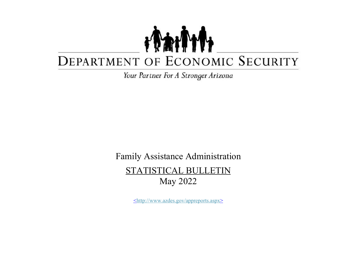## TANT DEPARTMENT OF ECONOMIC SECURITY

Your Partner For A Stronger Arizona

Family Assistance Administration STATISTICAL BULLETIN May 2022

<http://www.azdes.gov/appreports.aspx>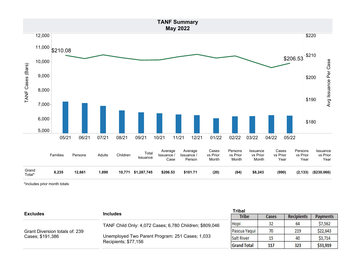

\*Includes prior month totals

|                                |                                                                         | <b>Tribal</b>      |       |                   |                 |
|--------------------------------|-------------------------------------------------------------------------|--------------------|-------|-------------------|-----------------|
| <b>Excludes</b>                | <b>Includes</b>                                                         | <b>Tribe</b>       | Cases | <b>Recipients</b> | <b>Payments</b> |
|                                | TANF Child Only: 4,072 Cases; 6,780 Children; \$809,046                 | Hopi               |       | 64                | \$7,562         |
| Grant Diversion totals of: 239 | Unemployed Two Parent Program: 251 Cases; 1,033<br>Recipients; \$77,156 | Pascua Yaqui       | 70    | 219               | \$22,643        |
| Cases; \$191,386               |                                                                         | <b>Salt River</b>  |       | 40                | \$3,714         |
|                                |                                                                         | <b>Grand Total</b> | 117   | 323               | \$33,919        |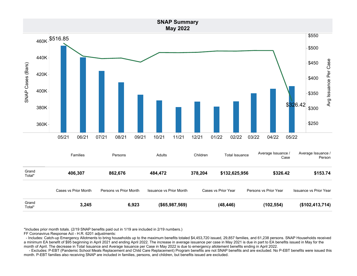

\*Includes prior month totals. (2/19 SNAP benefits paid out in 1/19 are included in 2/19 numbers.)

FF Coronavirus Response Act - H.R. 6201 adjustments:

 - Includes: Catch-up Emergency Allotments to bring households up to the maximum benefits totaled \$4,453,720 issued, 29,857 families, and 61,238 persons. SNAP Households received a minimum EA benefit of \$95 beginning in April 2021 and ending April 2022. The increase in average issuance per case in May 2021 is due in part to EA benefits issued in May for the month of April. The decrease in Total Issuance and Average Issuance per Case in May 2022 is due to emergency allotement benefits ending in April 2022.

 - Excludes: P-EBT (Pandemic School Meals Replacement and Child Care Replacement) Program benefits are not SNAP benefits and are excluded. No P-EBT benefits were issued this month. P-EBT families also receiving SNAP are included in families, persons, and children, but benefits issued are excluded.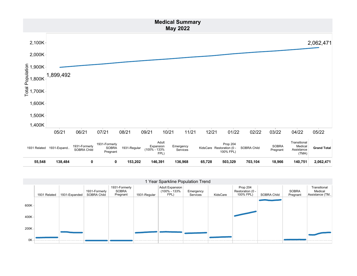

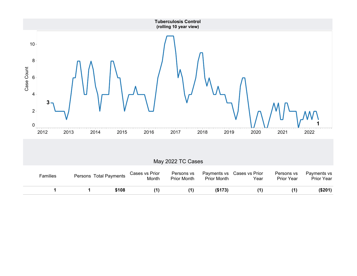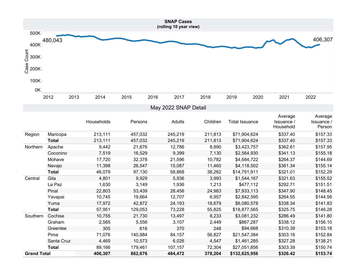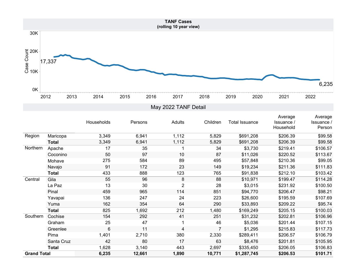

|                    |              | Households | Persons | Adults         | Children       | <b>Total Issuance</b> | Average<br>Issuance /<br>Household | Average<br>Issuance /<br>Person |
|--------------------|--------------|------------|---------|----------------|----------------|-----------------------|------------------------------------|---------------------------------|
| Region             | Maricopa     | 3,349      | 6,941   | 1,112          | 5,829          | \$691,208             | \$206.39                           | \$99.58                         |
|                    | <b>Total</b> | 3,349      | 6,941   | 1,112          | 5,829          | \$691,208             | \$206.39                           | \$99.58                         |
| Northern           | Apache       | 17         | 35      |                | 34             | \$3,730               | \$219.41                           | \$106.57                        |
|                    | Coconino     | 50         | 97      | 10             | 87             | \$11,026              | \$220.52                           | \$113.67                        |
|                    | Mohave       | 275        | 584     | 89             | 495            | \$57,848              | \$210.36                           | \$99.05                         |
|                    | Navajo       | 91         | 172     | 23             | 149            | \$19,234              | \$211.36                           | \$111.83                        |
|                    | <b>Total</b> | 433        | 888     | 123            | 765            | \$91,838              | \$212.10                           | \$103.42                        |
| Central            | Gila         | 55         | 96      | 8              | 88             | \$10,971              | \$199.47                           | \$114.28                        |
|                    | La Paz       | 13         | 30      | $\overline{2}$ | 28             | \$3,015               | \$231.92                           | \$100.50                        |
|                    | Pinal        | 459        | 965     | 114            | 851            | \$94,770              | \$206.47                           | \$98.21                         |
|                    | Yavapai      | 136        | 247     | 24             | 223            | \$26,600              | \$195.59                           | \$107.69                        |
|                    | Yuma         | 162        | 354     | 64             | 290            | \$33,893              | \$209.22                           | \$95.74                         |
|                    | <b>Total</b> | 825        | 1,692   | 212            | 1,480          | \$169,249             | \$205.15                           | \$100.03                        |
| Southern           | Cochise      | 154        | 292     | 41             | 251            | \$31,232              | \$202.81                           | \$106.96                        |
|                    | Graham       | 25         | 47      |                | 46             | \$5,036               | \$201.44                           | \$107.15                        |
|                    | Greenlee     | 6          | 11      | 4              | $\overline{7}$ | \$1,295               | \$215.83                           | \$117.73                        |
|                    | Pima         | 1,401      | 2,710   | 380            | 2,330          | \$289,411             | \$206.57                           | \$106.79                        |
|                    | Santa Cruz   | 42         | 80      | 17             | 63             | \$8,476               | \$201.81                           | \$105.95                        |
|                    | <b>Total</b> | 1,628      | 3,140   | 443            | 2,697          | \$335,450             | \$206.05                           | \$106.83                        |
| <b>Grand Total</b> |              | 6,235      | 12,661  | 1,890          | 10,771         | \$1,287,745           | \$206.53                           | \$101.71                        |